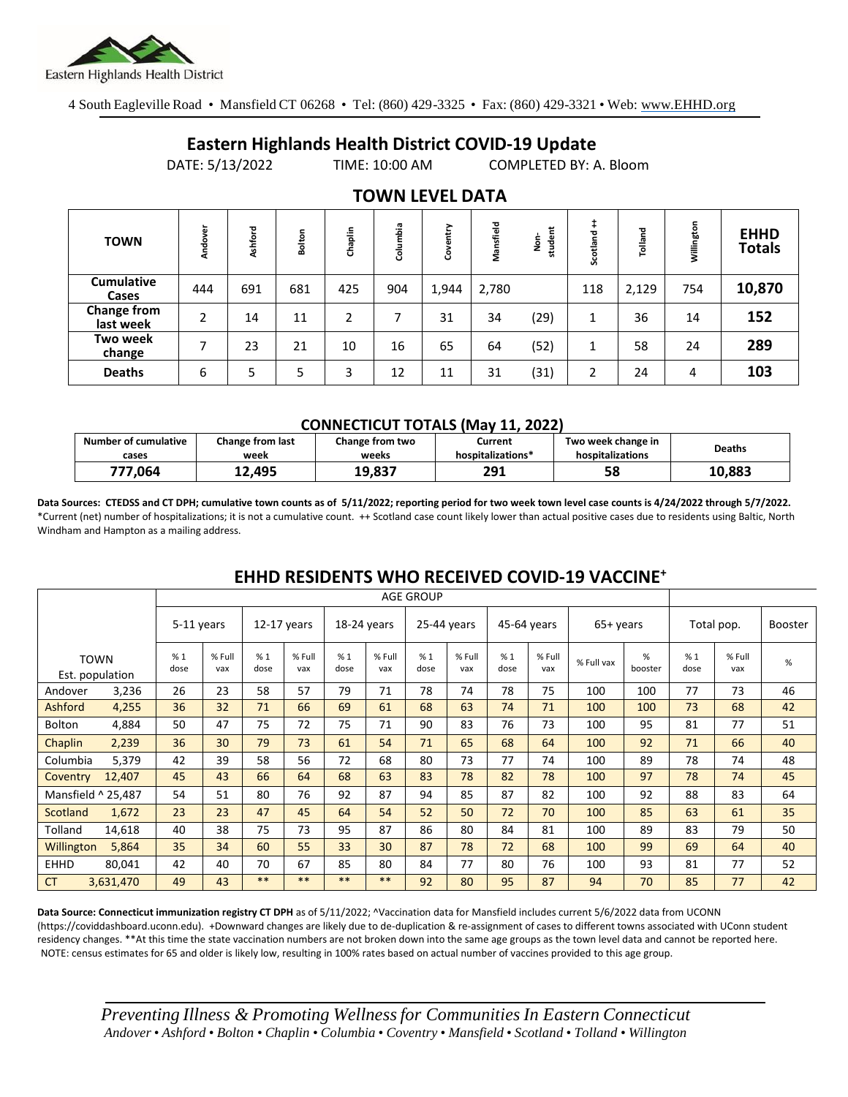

4 South Eagleville Road • Mansfield CT 06268 • Tel: (860) 429-3325 • Fax: (860) 429-3321 • Web: www.EHHD.org

## **Eastern Highlands Health District COVID-19 Update**

DATE: 5/13/2022 TIME: 10:00 AM COMPLETED BY: A. Bloom

| <b>TOWN</b>                     | Andover | Ashford | Bolton | Chaplin | Columbia | ➤<br>늍<br>පි | Mansfield | student<br>å | Scotland | Tolland | Willington | <b>EHHD</b><br><b>Totals</b> |
|---------------------------------|---------|---------|--------|---------|----------|--------------|-----------|--------------|----------|---------|------------|------------------------------|
| <b>Cumulative</b><br>Cases      | 444     | 691     | 681    | 425     | 904      | 1,944        | 2,780     |              | 118      | 2,129   | 754        | 10,870                       |
| <b>Change from</b><br>last week | 2       | 14      | 11     | 2       |          | 31           | 34        | (29)         |          | 36      | 14         | 152                          |
| Two week<br>change              | ⇁       | 23      | 21     | 10      | 16       | 65           | 64        | (52)         |          | 58      | 24         | 289                          |
| <b>Deaths</b>                   | 6       | 5       | 5      | 3       | 12       | 11           | 31        | (31)         | 2        | 24      | 4          | 103                          |

### **TOWN LEVEL DATA**

#### **CONNECTICUT TOTALS (May 11, 2022)**

| <b>Number of cumulative</b> | Change from last | Change from two | Current           | Two week change in | <b>Deaths</b> |
|-----------------------------|------------------|-----------------|-------------------|--------------------|---------------|
| cases                       | week             | weeks           | hospitalizations* | hospitalizations   |               |
| 777.064                     | 12.495           | 19,837          | 291               | 58                 | 10.883        |

**Data Sources: CTEDSS and CT DPH; cumulative town counts as of 5/11/2022; reporting period for two week town level case counts is 4/24/2022 through 5/7/2022.** \*Current (net) number of hospitalizations; it is not a cumulative count. ++ Scotland case count likely lower than actual positive cases due to residents using Baltic, North Windham and Hampton as a mailing address.

|                    |                                | <b>AGE GROUP</b> |               |               |               |             |               |             |               |             |               |            |              |            |               |                |
|--------------------|--------------------------------|------------------|---------------|---------------|---------------|-------------|---------------|-------------|---------------|-------------|---------------|------------|--------------|------------|---------------|----------------|
|                    |                                | 5-11 years       |               | $12-17$ years |               | 18-24 years |               | 25-44 years |               | 45-64 years |               | 65+ years  |              | Total pop. |               | <b>Booster</b> |
|                    | <b>TOWN</b><br>Est. population | %1<br>dose       | % Full<br>vax | %1<br>dose    | % Full<br>vax | %1<br>dose  | % Full<br>vax | %1<br>dose  | % Full<br>vax | %1<br>dose  | % Full<br>vax | % Full vax | %<br>booster | %1<br>dose | % Full<br>vax | $\%$           |
| Andover            | 3,236                          | 26               | 23            | 58            | 57            | 79          | 71            | 78          | 74            | 78          | 75            | 100        | 100          | 77         | 73            | 46             |
| Ashford            | 4,255                          | 36               | 32            | 71            | 66            | 69          | 61            | 68          | 63            | 74          | 71            | 100        | 100          | 73         | 68            | 42             |
| <b>Bolton</b>      | 4,884                          | 50               | 47            | 75            | 72            | 75          | 71            | 90          | 83            | 76          | 73            | 100        | 95           | 81         | 77            | 51             |
| Chaplin            | 2,239                          | 36               | 30            | 79            | 73            | 61          | 54            | 71          | 65            | 68          | 64            | 100        | 92           | 71         | 66            | 40             |
| Columbia           | 5,379                          | 42               | 39            | 58            | 56            | 72          | 68            | 80          | 73            | 77          | 74            | 100        | 89           | 78         | 74            | 48             |
| Coventry           | 12,407                         | 45               | 43            | 66            | 64            | 68          | 63            | 83          | 78            | 82          | 78            | 100        | 97           | 78         | 74            | 45             |
| Mansfield ^ 25,487 |                                | 54               | 51            | 80            | 76            | 92          | 87            | 94          | 85            | 87          | 82            | 100        | 92           | 88         | 83            | 64             |
| Scotland           | 1,672                          | 23               | 23            | 47            | 45            | 64          | 54            | 52          | 50            | 72          | 70            | 100        | 85           | 63         | 61            | 35             |
| Tolland            | 14,618                         | 40               | 38            | 75            | 73            | 95          | 87            | 86          | 80            | 84          | 81            | 100        | 89           | 83         | 79            | 50             |
| Willington         | 5,864                          | 35               | 34            | 60            | 55            | 33          | 30            | 87          | 78            | 72          | 68            | 100        | 99           | 69         | 64            | 40             |
| <b>EHHD</b>        | 80,041                         | 42               | 40            | 70            | 67            | 85          | 80            | 84          | 77            | 80          | 76            | 100        | 93           | 81         | 77            | 52             |
| <b>CT</b>          | 3,631,470                      | 49               | 43            | $***$         | $***$         | $***$       | **            | 92          | 80            | 95          | 87            | 94         | 70           | 85         | 77            | 42             |

### **EHHD RESIDENTS WHO RECEIVED COVID-19 VACCINE<sup>+</sup>**

**Data Source: Connecticut immunization registry CT DPH** as of 5/11/2022; ^Vaccination data for Mansfield includes current 5/6/2022 data from UCONN (https://coviddashboard.uconn.edu). +Downward changes are likely due to de-duplication & re-assignment of cases to different towns associated with UConn student residency changes. \*\*At this time the state vaccination numbers are not broken down into the same age groups as the town level data and cannot be reported here. NOTE: census estimates for 65 and older is likely low, resulting in 100% rates based on actual number of vaccines provided to this age group.

*Preventing Illness & Promoting Wellnessfor Communities In Eastern Connecticut* Andover • Ashford • Bolton • Chaplin • Columbia • Coventry • Mansfield • Scotland • Tolland • Willington